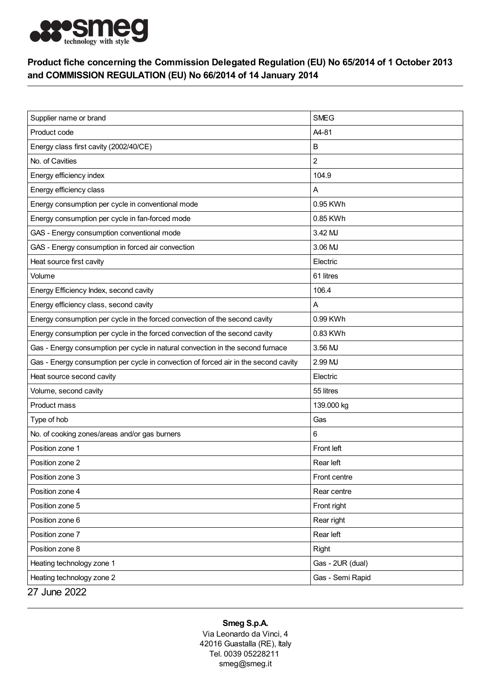

## Product fiche concerning the Commission Delegated Regulation (EU) No 65/2014 of 1 October 2013 and COMMISSION REGULATION (EU) No 66/2014 of 14 January 2014

| Supplier name or brand                                                              | <b>SMEG</b>      |
|-------------------------------------------------------------------------------------|------------------|
| Product code                                                                        | A4-81            |
| Energy class first cavity (2002/40/CE)                                              | в                |
| No. of Cavities                                                                     | 2                |
| Energy efficiency index                                                             | 104.9            |
| Energy efficiency class                                                             | A                |
| Energy consumption per cycle in conventional mode                                   | 0.95 KWh         |
| Energy consumption per cycle in fan-forced mode                                     | 0.85 KWh         |
| GAS - Energy consumption conventional mode                                          | 3.42 MJ          |
| GAS - Energy consumption in forced air convection                                   | 3.06 MJ          |
| Heat source first cavity                                                            | Electric         |
| Volume                                                                              | 61 litres        |
| Energy Efficiency Index, second cavity                                              | 106.4            |
| Energy efficiency class, second cavity                                              | A                |
| Energy consumption per cycle in the forced convection of the second cavity          | 0.99 KWh         |
| Energy consumption per cycle in the forced convection of the second cavity          | 0.83 KWh         |
| Gas - Energy consumption per cycle in natural convection in the second furnace      | 3.56 MJ          |
| Gas - Energy consumption per cycle in convection of forced air in the second cavity | 2.99 MJ          |
| Heat source second cavity                                                           | Electric         |
| Volume, second cavity                                                               | 55 litres        |
| Product mass                                                                        | 139.000 kg       |
| Type of hob                                                                         | Gas              |
| No. of cooking zones/areas and/or gas burners                                       | 6                |
| Position zone 1                                                                     | Front left       |
| Position zone 2                                                                     | Rear left        |
| Position zone 3                                                                     | Front centre     |
| Position zone 4                                                                     | Rear centre      |
| Position zone 5                                                                     | Front right      |
| Position zone 6                                                                     | Rear right       |
| Position zone 7                                                                     | Rear left        |
| Position zone 8                                                                     | Right            |
| Heating technology zone 1                                                           | Gas - 2UR (dual) |
| Heating technology zone 2                                                           | Gas - Semi Rapid |
| 27 June 2022                                                                        |                  |

## Smeg S.p.A.

Via Leonardo da Vinci, 4 42016 Guastalla (RE), Italy Tel. 0039 05228211 smeg@smeg.it